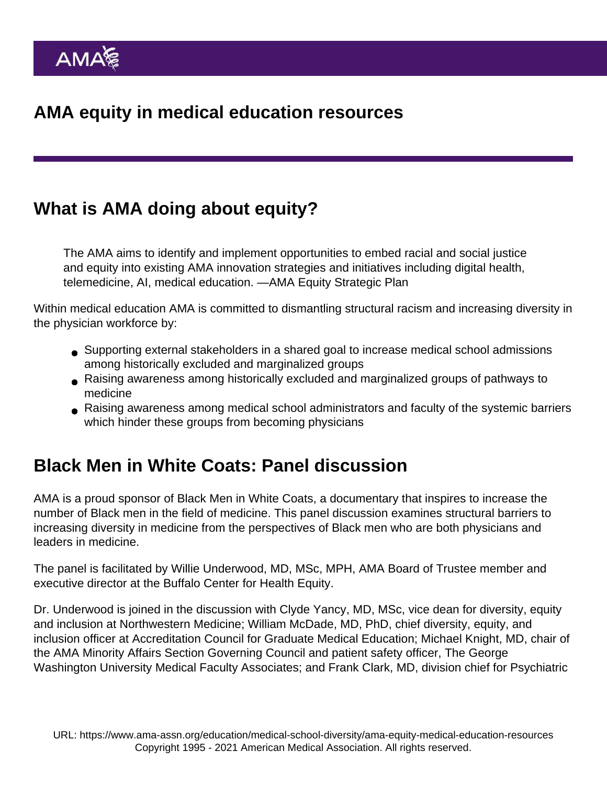# What is AMA doing about equity?

The AMA aims to identify and implement opportunities to embed racial and social justice and equity into existing AMA innovation strategies and initiatives including digital health, telemedicine, AI, medical education. [—AMA Equity Strategic Plan](https://www.ama-assn.org/about/leadership/ama-s-strategic-plan-embed-racial-justice-and-advance-health-equity)

Within medical education AMA is committed to dismantling structural racism and increasing diversity in the physician workforce by:

- Supporting external stakeholders in a shared goal to increase medical school admissions among historically excluded and marginalized groups
- Raising awareness among historically excluded and marginalized groups of pathways to medicine
- Raising awareness among medical school administrators and faculty of the systemic barriers which hinder these groups from becoming physicians

## Black Men in White Coats: Panel discussion

AMA is a proud sponsor of [Black Men in White Coats](https://www.ama-assn.org/education/medical-school-diversity/host-black-men-white-coats-documentary-screening), a documentary that inspires to increase the number of Black men in the field of medicine. This [panel discussion](https://youtu.be/r4xq58ugNkg) examines structural barriers to increasing diversity in medicine from the perspectives of Black men who are both physicians and leaders in medicine.

The panel is facilitated by Willie Underwood, MD, MSc, MPH, AMA Board of Trustee member and executive director at the Buffalo Center for Health Equity.

Dr. Underwood is joined in the discussion with Clyde Yancy, MD, MSc, vice dean for diversity, equity and inclusion at Northwestern Medicine; William McDade, MD, PhD, chief diversity, equity, and inclusion officer at Accreditation Council for Graduate Medical Education; Michael Knight, MD, chair of the AMA Minority Affairs Section Governing Council and patient safety officer, The George Washington University Medical Faculty Associates; and Frank Clark, MD, division chief for Psychiatric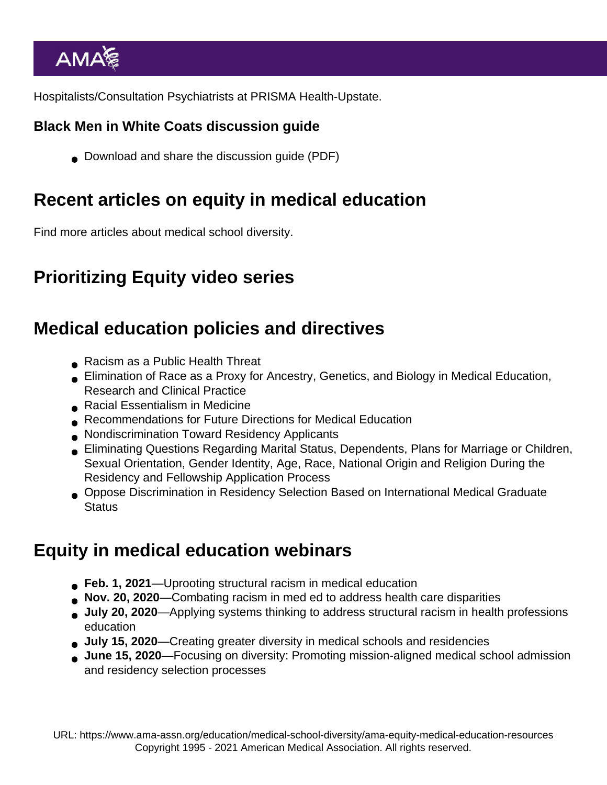Hospitalists/Consultation Psychiatrists at PRISMA Health-Upstate.

Black Men in White Coats discussion guide

■ [Download and share the discussion guide](https://www.ama-assn.org/system/files/bmwc-discussion-guide.pdf) (PDF)

#### Recent articles on equity in medical education

[Find more articles about medical school diversity.](https://www.ama-assn.org/education/medical-school-diversity)

### Prioritizing Equity video series

### Medical education policies and directives

- [Racism as a Public Health Threat](https://policysearch.ama-assn.org/policyfinder/detail/Racism as a Public Health Threat?uri=/AMADoc/HOD.xml-H-65.952.xml)
- [Elimination of Race as a Proxy for Ancestry, Genetics, and Biology in Medical Education,](https://policysearch.ama-assn.org/policyfinder/detail/Elimination of Race as a Proxy for Ancestry, Genetics, and Biology in Medical Education, Research and Clinical Practice?uri=/AMADoc/HOD.xml-H-65.953.xml) [Research and Clinical Practice](https://policysearch.ama-assn.org/policyfinder/detail/Elimination of Race as a Proxy for Ancestry, Genetics, and Biology in Medical Education, Research and Clinical Practice?uri=/AMADoc/HOD.xml-H-65.953.xml)
- [Racial Essentialism in Medicine](https://policysearch.ama-assn.org/policyfinder/detail/Racial Essentialism in Medicine?uri=/AMADoc/directives.xml-D-350.981.xml)
- [Recommendations for Future Directions for Medical Education](https://policysearch.ama-assn.org/policyfinder/detail/Recommendations for Future Directions for Medical Education H-295.995?uri=/AMADoc/HOD.xml-0-2294.xml)
- [Nondiscrimination Toward Residency Applicants](https://policysearch.ama-assn.org/policyfinder/detail/H-295.969  ?uri=/AMADoc/HOD.xml-0-2268.xml)
- [Eliminating Questions Regarding Marital Status, Dependents, Plans for Marriage or Children,](https://policysearch.ama-assn.org/policyfinder/detail/Eliminating Questions Regarding Marital Status, Dependents, Plans for Marriage or Children, Sexual Orientation, Gender Identity, Age, Race, National Origin and Religion During the Residency and Fellowship Application Process H-310.919?uri=/AMADoc/HOD.xml-0-2503.xml) [Sexual Orientation, Gender Identity, Age, Race, National Origin and Religion During the](https://policysearch.ama-assn.org/policyfinder/detail/Eliminating Questions Regarding Marital Status, Dependents, Plans for Marriage or Children, Sexual Orientation, Gender Identity, Age, Race, National Origin and Religion During the Residency and Fellowship Application Process H-310.919?uri=/AMADoc/HOD.xml-0-2503.xml) [Residency and Fellowship Application Process](https://policysearch.ama-assn.org/policyfinder/detail/Eliminating Questions Regarding Marital Status, Dependents, Plans for Marriage or Children, Sexual Orientation, Gender Identity, Age, Race, National Origin and Religion During the Residency and Fellowship Application Process H-310.919?uri=/AMADoc/HOD.xml-0-2503.xml)
- [Oppose Discrimination in Residency Selection Based on International Medical Graduate](https://policysearch.ama-assn.org/policyfinder/detail/D-255.982?uri=/AMADoc/directives.xml-0-636.xml) **[Status](https://policysearch.ama-assn.org/policyfinder/detail/D-255.982?uri=/AMADoc/directives.xml-0-636.xml)**

## Equity in medical education webinars

- Feb. 1, 2021[—Uprooting structural racism in medical education](https://zoom.us/rec/share/ekbBygHu2loCorw19Ok9YPKYv1IpPf0UECcDyvKXvQE5INSr9tvl38zgp1evR0Zq.Zaz3MO-IbiBFtpzQ?startTime=1612212523000)
- Nov. 20, 2020[—Combating racism in med ed to address health care disparities](https://www.ama-assn.org/education/medical-school-diversity/combating-racism-med-ed-address-health-care-disparities)
- July 20, 2020 [—Applying systems thinking to address structural racism in health professions](http://cc.readytalk.com/play?id=c51cdi) [education](http://cc.readytalk.com/play?id=c51cdi)
- July 15, 2020 [—Creating greater diversity in medical schools and residencies](https://www.ama-assn.org/education/medical-school-diversity/creating-greater-diversity-medical-schools-and-residencies)
- June 15, 2020[—Focusing on diversity: Promoting mission-aligned medical school admission](http://cc.readytalk.com/play?id=829q1w) [and residency selection processes](http://cc.readytalk.com/play?id=829q1w)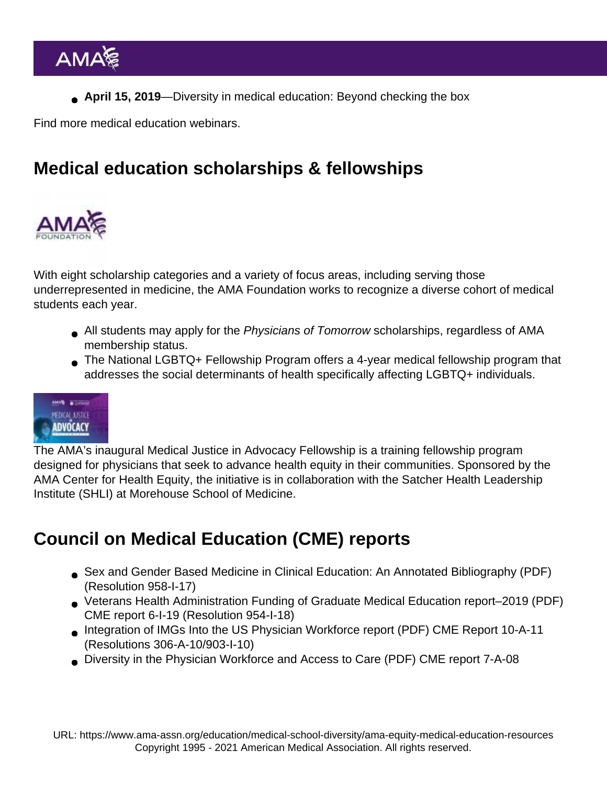April 15, 2019 [—Diversity in medical education: Beyond checking the box](https://ace.communities.ama-assn.org/discussions/788)

[Find more medical education webinars](https://www.ama-assn.org/education/accelerating-change-medical-education/medical-education-webinars-and-virtual-discussions).

## Medical education scholarships & fellowships

With eight scholarship categories and a variety of focus areas, including serving those underrepresented in medicine, the AMA Foundation works to recognize a diverse cohort of medical students each year.

- All students may apply for the [Physicians of Tomorrow scholarships,](https://amafoundation.org/programs/scholarships/) regardless of AMA membership status.
- The [National LGBTQ+ Fellowship Program](https://amafoundation.org/programs/lgbtq-fellowship/) offers a 4-year medical fellowship program that addresses the social determinants of health specifically affecting LGBTQ+ individuals.

The AMA's inaugural [Medical Justice in Advocacy Fellowship](https://www.ama-assn.org/delivering-care/health-equity/medical-justice-advocacy-fellowship) is a training fellowship program designed for physicians that seek to advance health equity in their communities. Sponsored by the AMA Center for Health Equity, the initiative is in collaboration with the [Satcher Health Leadership](https://www.satcherinstitute.org/) [Institute](https://www.satcherinstitute.org/) (SHLI) at Morehouse School of Medicine.

## Council on Medical Education (CME) reports

- [Sex and Gender Based Medicine in Clinical Education: An Annotated Bibliography](https://www.ama-assn.org/sites/ama-assn.org/files/corp/media-browser/public/about-ama/councils/Council Reports/council-on-medical-education/sex-gender-based-medicine-bibliography.pdf) (PDF) (Resolution 958-I-17)
- [Veterans Health Administration Funding of Graduate Medical Education report–2019](https://www.ama-assn.org/system/files/2020-04/cme-report-6-i19-annotated.pdf) (PDF) CME report 6-I-19 (Resolution 954-I-18)
- [Integration of IMGs Into the US Physician Workforce report](https://www.ama-assn.org/sites/ama-assn.org/files/corp/media-browser/public/about-ama/councils/Council Reports/council-on-medical-education/a11-cme-integration-imgs-us-physician-workforce.pdf) (PDF) CME Report 10-A-11 (Resolutions 306-A-10/903-I-10)
- [Diversity in the Physician Workforce and Access to Care](https://www.ama-assn.org/sites/ama-assn.org/files/corp/media-browser/public/about-ama/councils/Council Reports/council-on-medical-education/a08-cme-diversity-physician-workforce-access-care.pdf) (PDF) CME report 7-A-08